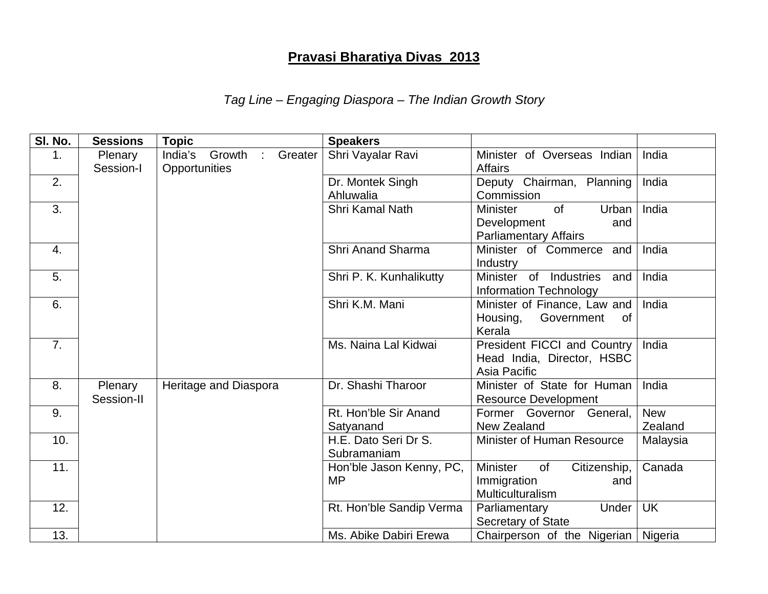## **Pravasi Bharatiya Divas 2013**

## *Tag Line – Engaging Diaspora – The Indian Growth Story*

| SI. No. | <b>Sessions</b>       | <b>Topic</b>                                                    | <b>Speakers</b>                       |                                                                                             |                       |
|---------|-----------------------|-----------------------------------------------------------------|---------------------------------------|---------------------------------------------------------------------------------------------|-----------------------|
| 1.      | Plenary<br>Session-I  | India's<br>Growth<br>Greater<br>$\mathbb{R}^2$<br>Opportunities | Shri Vayalar Ravi                     | Minister of Overseas Indian<br><b>Affairs</b>                                               | India                 |
| 2.      |                       |                                                                 | Dr. Montek Singh<br>Ahluwalia         | Deputy Chairman, Planning<br>Commission                                                     | India                 |
| 3.      |                       |                                                                 | Shri Kamal Nath                       | <b>Minister</b><br><b>of</b><br>Urban<br>Development<br>and<br><b>Parliamentary Affairs</b> | India                 |
| 4.      |                       |                                                                 | <b>Shri Anand Sharma</b>              | Minister of Commerce and<br>Industry                                                        | India                 |
| 5.      |                       |                                                                 | Shri P. K. Kunhalikutty               | Minister of Industries<br>and<br><b>Information Technology</b>                              | India                 |
| 6.      |                       |                                                                 | Shri K.M. Mani                        | Minister of Finance, Law and<br>Government<br>Housing,<br>0f<br>Kerala                      | India                 |
| 7.      |                       |                                                                 | Ms. Naina Lal Kidwai                  | President FICCI and Country<br>Head India, Director, HSBC<br>Asia Pacific                   | India                 |
| 8.      | Plenary<br>Session-II | Heritage and Diaspora                                           | Dr. Shashi Tharoor                    | Minister of State for Human<br><b>Resource Development</b>                                  | India                 |
| 9.      |                       |                                                                 | Rt. Hon'ble Sir Anand<br>Satyanand    | Former Governor General,<br>New Zealand                                                     | <b>New</b><br>Zealand |
| 10.     |                       |                                                                 | H.E. Dato Seri Dr S.<br>Subramaniam   | Minister of Human Resource                                                                  | Malaysia              |
| 11.     |                       |                                                                 | Hon'ble Jason Kenny, PC,<br><b>MP</b> | <b>Minister</b><br>of<br>Citizenship,<br>Immigration<br>and<br>Multiculturalism             | Canada                |
| 12.     |                       |                                                                 | Rt. Hon'ble Sandip Verma              | Parliamentary<br>Under<br>Secretary of State                                                | <b>UK</b>             |
| 13.     |                       |                                                                 | Ms. Abike Dabiri Erewa                | Chairperson of the Nigerian                                                                 | Nigeria               |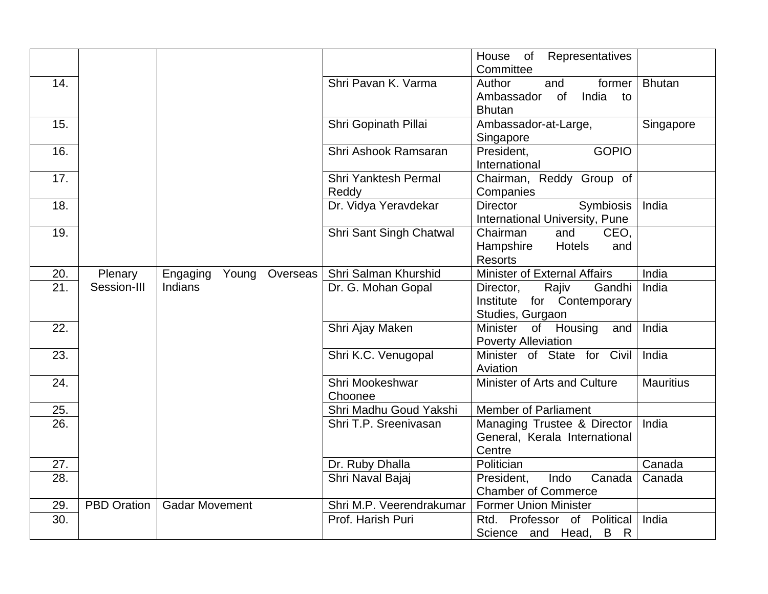|     |                    |                               |                          | Representatives<br>House of         |                  |
|-----|--------------------|-------------------------------|--------------------------|-------------------------------------|------------------|
|     |                    |                               |                          | Committee                           |                  |
| 14. |                    |                               | Shri Pavan K. Varma      | Author<br>former<br>and             | <b>Bhutan</b>    |
|     |                    |                               |                          | Ambassador of<br>India<br>to        |                  |
|     |                    |                               |                          | <b>Bhutan</b>                       |                  |
| 15. |                    |                               | Shri Gopinath Pillai     | Ambassador-at-Large,                | Singapore        |
|     |                    |                               |                          | Singapore                           |                  |
| 16. |                    |                               | Shri Ashook Ramsaran     | <b>GOPIO</b><br>President,          |                  |
|     |                    |                               |                          | International                       |                  |
| 17. |                    |                               | Shri Yanktesh Permal     | Chairman, Reddy Group of            |                  |
|     |                    |                               | Reddy                    | Companies                           |                  |
| 18. |                    |                               | Dr. Vidya Yeravdekar     | Symbiosis<br><b>Director</b>        | India            |
|     |                    |                               |                          | International University, Pune      |                  |
| 19. |                    |                               | Shri Sant Singh Chatwal  | Chairman<br>CEO,<br>and             |                  |
|     |                    |                               |                          | Hampshire<br><b>Hotels</b><br>and   |                  |
|     |                    |                               |                          | <b>Resorts</b>                      |                  |
| 20. | Plenary            | Young<br>Overseas<br>Engaging | Shri Salman Khurshid     | <b>Minister of External Affairs</b> | India            |
| 21. | Session-III        | Indians                       | Dr. G. Mohan Gopal       | Rajiv<br>Gandhi<br>Director,        | India            |
|     |                    |                               |                          | Institute for Contemporary          |                  |
|     |                    |                               |                          | Studies, Gurgaon                    |                  |
| 22. |                    |                               | Shri Ajay Maken          | Minister of Housing<br>and          | India            |
|     |                    |                               |                          | <b>Poverty Alleviation</b>          |                  |
| 23. |                    |                               | Shri K.C. Venugopal      | Minister of State for Civil         | India            |
|     |                    |                               |                          | Aviation                            |                  |
| 24. |                    |                               | Shri Mookeshwar          | Minister of Arts and Culture        | <b>Mauritius</b> |
|     |                    |                               | Choonee                  |                                     |                  |
| 25. |                    |                               | Shri Madhu Goud Yakshi   | <b>Member of Parliament</b>         |                  |
| 26. |                    |                               | Shri T.P. Sreenivasan    | Managing Trustee & Director         | India            |
|     |                    |                               |                          | General, Kerala International       |                  |
|     |                    |                               |                          | Centre                              |                  |
| 27. |                    |                               | Dr. Ruby Dhalla          | Politician                          | Canada           |
| 28. |                    |                               | Shri Naval Bajaj         | Indo<br>President,<br>Canada        | Canada           |
|     |                    |                               |                          | <b>Chamber of Commerce</b>          |                  |
| 29. | <b>PBD Oration</b> | <b>Gadar Movement</b>         | Shri M.P. Veerendrakumar | <b>Former Union Minister</b>        |                  |
| 30. |                    |                               | Prof. Harish Puri        | Rtd. Professor of Political         | India            |
|     |                    |                               |                          | Science and Head,<br>B R            |                  |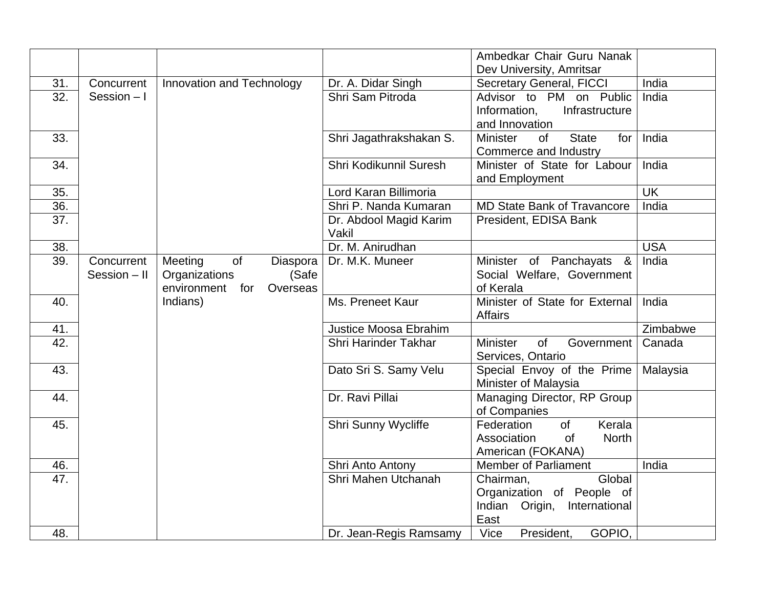|     |              |                                |                              | Ambedkar Chair Guru Nanak                           |                          |
|-----|--------------|--------------------------------|------------------------------|-----------------------------------------------------|--------------------------|
|     |              |                                |                              | Dev University, Amritsar                            |                          |
| 31. | Concurrent   | Innovation and Technology      | Dr. A. Didar Singh           | <b>Secretary General, FICCI</b>                     | India                    |
| 32. | Session $-1$ |                                | Shri Sam Pitroda             | Advisor to PM on Public                             | India                    |
|     |              |                                |                              | Information,<br>Infrastructure                      |                          |
|     |              |                                |                              | and Innovation                                      |                          |
| 33. |              |                                | Shri Jagathrakshakan S.      | <b>Minister</b><br><b>State</b><br><b>of</b><br>for | India                    |
|     |              |                                |                              | Commerce and Industry                               |                          |
| 34. |              |                                | Shri Kodikunnil Suresh       | Minister of State for Labour                        | India                    |
|     |              |                                |                              | and Employment                                      |                          |
| 35. |              |                                | Lord Karan Billimoria        |                                                     | $\overline{\mathsf{UK}}$ |
| 36. |              |                                | Shri P. Nanda Kumaran        | <b>MD State Bank of Travancore</b>                  | India                    |
| 37. |              |                                | Dr. Abdool Magid Karim       | President, EDISA Bank                               |                          |
|     |              |                                | Vakil                        |                                                     |                          |
| 38. |              |                                | Dr. M. Anirudhan             |                                                     | <b>USA</b>               |
| 39. | Concurrent   | of<br>Meeting<br>Diaspora      | Dr. M.K. Muneer              | Minister of Panchayats &                            | India                    |
|     | Session - II | Organizations<br>(Safe         |                              | Social Welfare, Government                          |                          |
|     |              | environment<br>for<br>Overseas |                              | of Kerala                                           |                          |
| 40. |              | Indians)                       | Ms. Preneet Kaur             | Minister of State for External                      | India                    |
|     |              |                                |                              | Affairs                                             |                          |
| 41. |              |                                | <b>Justice Moosa Ebrahim</b> |                                                     | Zimbabwe                 |
| 42. |              |                                | Shri Harinder Takhar         | of<br><b>Minister</b><br>Government                 | Canada                   |
|     |              |                                |                              | Services, Ontario                                   |                          |
| 43. |              |                                | Dato Sri S. Samy Velu        | Special Envoy of the Prime                          | Malaysia                 |
|     |              |                                |                              | Minister of Malaysia                                |                          |
| 44. |              |                                | Dr. Ravi Pillai              | Managing Director, RP Group                         |                          |
|     |              |                                |                              | of Companies                                        |                          |
| 45. |              |                                | <b>Shri Sunny Wycliffe</b>   | Federation<br>Kerala<br><b>of</b>                   |                          |
|     |              |                                |                              | Association<br><b>North</b><br><b>of</b>            |                          |
|     |              |                                |                              | American (FOKANA)                                   |                          |
| 46. |              |                                | Shri Anto Antony             | <b>Member of Parliament</b>                         | India                    |
| 47. |              |                                | Shri Mahen Utchanah          | Global<br>Chairman,                                 |                          |
|     |              |                                |                              | Organization of People of                           |                          |
|     |              |                                |                              | Indian Origin, International                        |                          |
|     |              |                                |                              | East                                                |                          |
| 48. |              |                                | Dr. Jean-Regis Ramsamy       | Vice<br>GOPIO,<br>President,                        |                          |